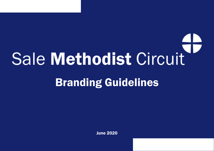# **Sale Methodist Circuit** Branding Guidelines

June 2020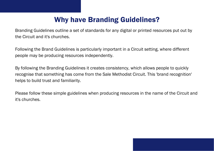# Why have Branding Guidelines?

Branding Guidelines outline a set of standards for any digital or printed resources put out by the Circuit and it's churches.

Following the Brand Guidelines is particularly important in a Circuit setting, where different people may be producing resources independently.

By following the Branding Guidelines it creates consistency, which allows people to quickly recognise that something has come from the Sale Methodist Circuit. This 'brand recognition' helps to build trust and familiarity.

Please follow these simple guidelines when producing resources in the name of the Circuit and it's churches.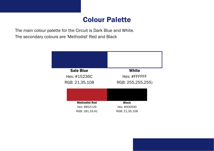## Colour Palette

The main colour palette for the Circuit is Dark Blue and White. The secondary colours are 'Methodist' Red and Black

| <b>Sale Blue</b>                                       | <b>White</b>                                   |
|--------------------------------------------------------|------------------------------------------------|
| Hex: #15236C                                           | Hex: #FFFFFFF                                  |
| RGB: 21,35,108                                         | RGB: 255,255,255)                              |
|                                                        |                                                |
| <b>Methodist Red</b><br>Hex: #B52129<br>RGB: 181,33,41 | <b>Black</b><br>Hex: #000000<br>RGB: 21,35,108 |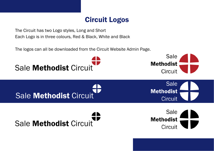## Circuit Logos

The Circuit has two Logo styles, Long and Short Each Logo is in three colours, Red & Black, White and Black

The logos can all be downloaded from the Circuit Website Admin Page.

Sale Methodist Circuit

Sale **Methodist** Circuit

**Sale** 

**Circuit** 

**Methodist** 

Sale Methodist Circuit

Sale **Methodist** Circuit

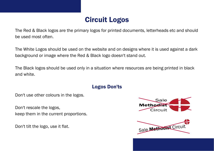# Circuit Logos

The Red & Black logos are the primary logos for printed documents, letterheads etc and should be used most often.

The White Logos should be used on the website and on designs where it is used against a dark background or image where the Red & Black logo doesn't stand out.

The Black logos should be used only in a situation where resources are being printed in black and white.

#### Logos Don'ts

Don't use other colours in the logos.

Don't rescale the logos, keep them in the current proportions.

Don't tilt the logo, use it flat.



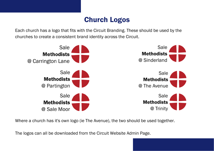## Church Logos

Each church has a logo that fits with the Circuit Branding. These should be used by the churches to create a consistent brand identity across the Circuit.



Where a church has it's own logo (ie The Avenue), the two should be used together.

The logos can all be downloaded from the Circuit Website Admin Page.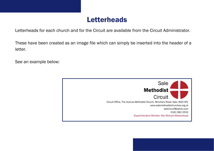#### Letterheads

Letterheads for each church and for the Circuit are available from the Circuit Administrator.

These have been created as an image file which can simply be inserted into the header of a letter.

See an example below: